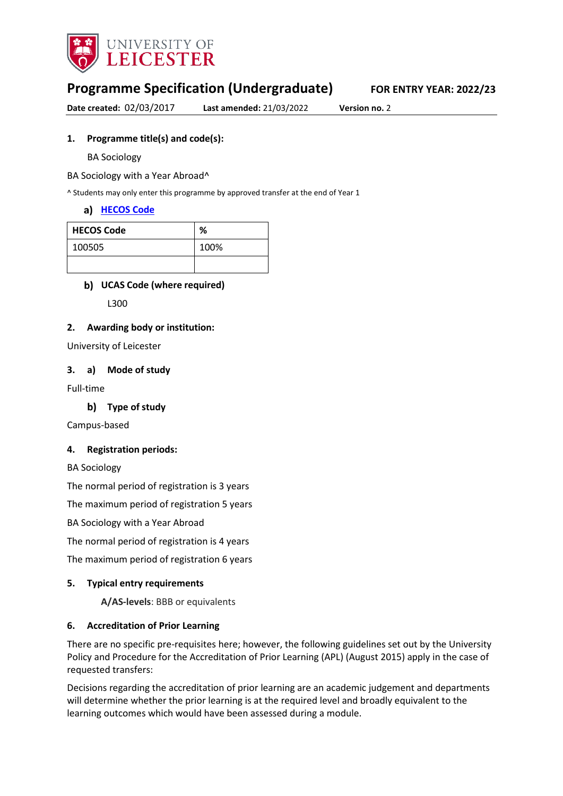

# **Programme Specification (Undergraduate) FOR ENTRY YEAR: 2022/23**

**Date created:** 02/03/2017 **Last amended:** 21/03/2022 **Version no.** 2

#### **1. Programme title(s) and code(s):**

BA Sociology

BA Sociology with a Year Abroad^

^ Students may only enter this programme by approved transfer at the end of Year 1

#### **[HECOS Code](https://www.hesa.ac.uk/innovation/hecos)**

| <b>HECOS Code</b> | %    |
|-------------------|------|
| 100505            | 100% |
|                   |      |

### **UCAS Code (where required)**

L300

#### **2. Awarding body or institution:**

University of Leicester

#### **3. a) Mode of study**

Full-time

#### **Type of study**

Campus-based

#### **4. Registration periods:**

BA Sociology

The normal period of registration is 3 years

The maximum period of registration 5 years

BA Sociology with a Year Abroad

The normal period of registration is 4 years

The maximum period of registration 6 years

#### **5. Typical entry requirements**

**A/AS-levels**: BBB or equivalents

#### **6. Accreditation of Prior Learning**

There are no specific pre-requisites here; however, the following guidelines set out by the University Policy and Procedure for the Accreditation of Prior Learning (APL) (August 2015) apply in the case of requested transfers:

Decisions regarding the accreditation of prior learning are an academic judgement and departments will determine whether the prior learning is at the required level and broadly equivalent to the learning outcomes which would have been assessed during a module.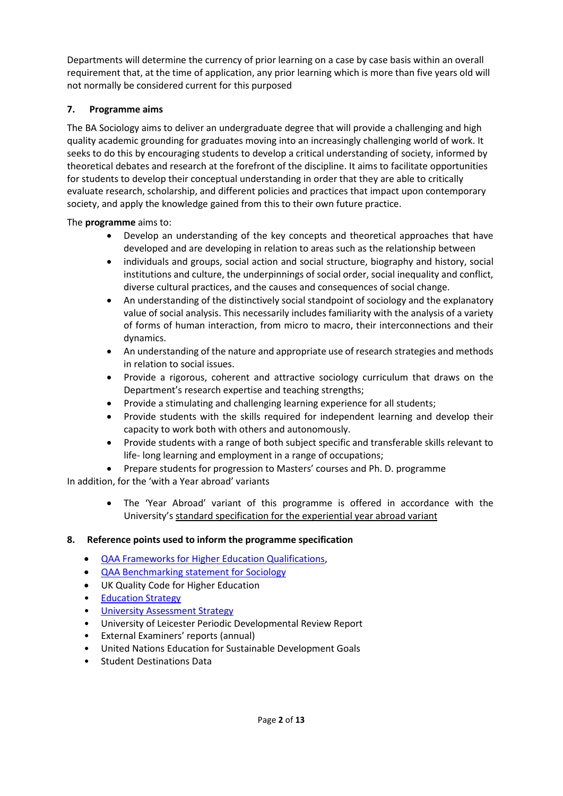Departments will determine the currency of prior learning on a case by case basis within an overall requirement that, at the time of application, any prior learning which is more than five years old will not normally be considered current for this purposed

# **7. Programme aims**

The BA Sociology aims to deliver an undergraduate degree that will provide a challenging and high quality academic grounding for graduates moving into an increasingly challenging world of work. It seeks to do this by encouraging students to develop a critical understanding of society, informed by theoretical debates and research at the forefront of the discipline. It aims to facilitate opportunities for students to develop their conceptual understanding in order that they are able to critically evaluate research, scholarship, and different policies and practices that impact upon contemporary society, and apply the knowledge gained from this to their own future practice.

The **programme** aims to:

- Develop an understanding of the key concepts and theoretical approaches that have developed and are developing in relation to areas such as the relationship between
- individuals and groups, social action and social structure, biography and history, social institutions and culture, the underpinnings of social order, social inequality and conflict, diverse cultural practices, and the causes and consequences of social change.
- An understanding of the distinctively social standpoint of sociology and the explanatory value of social analysis. This necessarily includes familiarity with the analysis of a variety of forms of human interaction, from micro to macro, their interconnections and their dynamics.
- An understanding of the nature and appropriate use of research strategies and methods in relation to social issues.
- Provide a rigorous, coherent and attractive sociology curriculum that draws on the Department's research expertise and teaching strengths;
- Provide a stimulating and challenging learning experience for all students;
- Provide students with the skills required for independent learning and develop their capacity to work both with others and autonomously.
- Provide students with a range of both subject specific and transferable skills relevant to life- long learning and employment in a range of occupations;
- Prepare students for progression to Masters' courses and Ph. D. programme

In addition, for the 'with a Year abroad' variants

• The 'Year Abroad' variant of this programme is offered in accordance with the University'[s standard specification for the experiential year abroad variant](https://uniofleicester.sharepoint.com/sites/StudyAbroad/Shared%20Documents/Forms/AllItems.aspx?id=%2Fsites%2FStudyAbroad%2FShared%20Documents%2FUpdated%20programme%20specs%2Epdf&parent=%2Fsites%2FStudyAbroad%2FShared%20Documents&p=true)

# **8. Reference points used to inform the programme specification**

- [QAA Frameworks for Higher Education Qualifications,](http://www.qaa.ac.uk/en/Publications/Documents/qualifications-frameworks.pdf)
- [QAA Benchmarking statement for Sociology](http://www.qaa.ac.uk/en/Publications/Documents/Subject-benchmark-statement-Sociology.pdf)
- UK Quality Code for Higher Education
- Education Strategy
- [University Assessment Strategy](https://www2.le.ac.uk/offices/sas2/quality/learnteach)
- University of Leicester Periodic Developmental Review Report
- External Examiners' reports (annual)
- United Nations Education for Sustainable Development Goals
- Student Destinations Data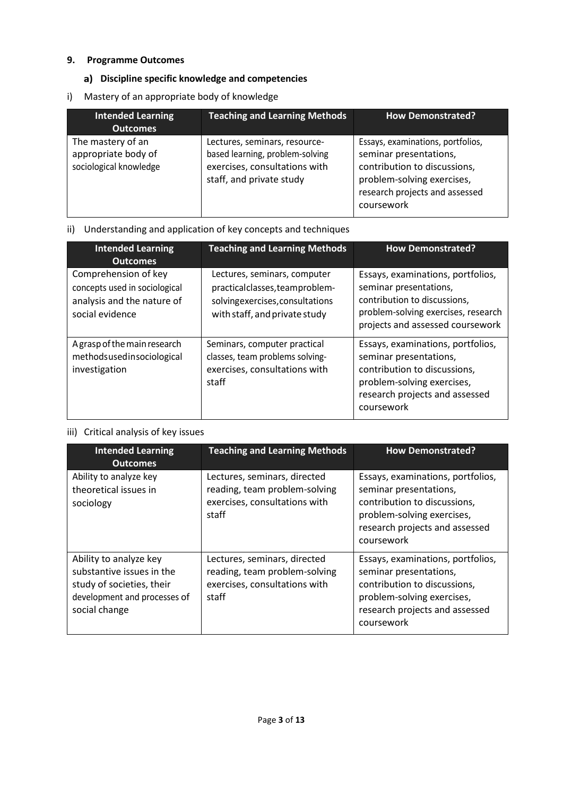## **9. Programme Outcomes**

# **Discipline specific knowledge and competencies**

i) Mastery of an appropriate body of knowledge

| <b>Intended Learning</b><br><b>Outcomes</b>                        | <b>Teaching and Learning Methods</b>                                                                                          | <b>How Demonstrated?</b>                                                                                                                                                  |
|--------------------------------------------------------------------|-------------------------------------------------------------------------------------------------------------------------------|---------------------------------------------------------------------------------------------------------------------------------------------------------------------------|
| The mastery of an<br>appropriate body of<br>sociological knowledge | Lectures, seminars, resource-<br>based learning, problem-solving<br>exercises, consultations with<br>staff, and private study | Essays, examinations, portfolios,<br>seminar presentations,<br>contribution to discussions,<br>problem-solving exercises,<br>research projects and assessed<br>coursework |

# ii) Understanding and application of key concepts and techniques

| <b>Intended Learning</b><br><b>Outcomes</b>                                                            | <b>Teaching and Learning Methods</b>                                                                                               | <b>How Demonstrated?</b>                                                                                                                                                  |
|--------------------------------------------------------------------------------------------------------|------------------------------------------------------------------------------------------------------------------------------------|---------------------------------------------------------------------------------------------------------------------------------------------------------------------------|
| Comprehension of key<br>concepts used in sociological<br>analysis and the nature of<br>social evidence | Lectures, seminars, computer<br>practicalclasses, teamproblem-<br>solvingexercises, consultations<br>with staff, and private study | Essays, examinations, portfolios,<br>seminar presentations,<br>contribution to discussions,<br>problem-solving exercises, research<br>projects and assessed coursework    |
| A grasp of the main research<br>methodsusedinsociological<br>investigation                             | Seminars, computer practical<br>classes, team problems solving-<br>exercises, consultations with<br>staff                          | Essays, examinations, portfolios,<br>seminar presentations,<br>contribution to discussions,<br>problem-solving exercises,<br>research projects and assessed<br>coursework |

# iii) Critical analysis of key issues

| <b>Intended Learning</b><br><b>Outcomes</b>                                                                                       | <b>Teaching and Learning Methods</b>                                                                    | <b>How Demonstrated?</b>                                                                                                                                                  |
|-----------------------------------------------------------------------------------------------------------------------------------|---------------------------------------------------------------------------------------------------------|---------------------------------------------------------------------------------------------------------------------------------------------------------------------------|
| Ability to analyze key<br>theoretical issues in<br>sociology                                                                      | Lectures, seminars, directed<br>reading, team problem-solving<br>exercises, consultations with<br>staff | Essays, examinations, portfolios,<br>seminar presentations,<br>contribution to discussions,<br>problem-solving exercises,<br>research projects and assessed<br>coursework |
| Ability to analyze key<br>substantive issues in the<br>study of societies, their<br>development and processes of<br>social change | Lectures, seminars, directed<br>reading, team problem-solving<br>exercises, consultations with<br>staff | Essays, examinations, portfolios,<br>seminar presentations,<br>contribution to discussions,<br>problem-solving exercises,<br>research projects and assessed<br>coursework |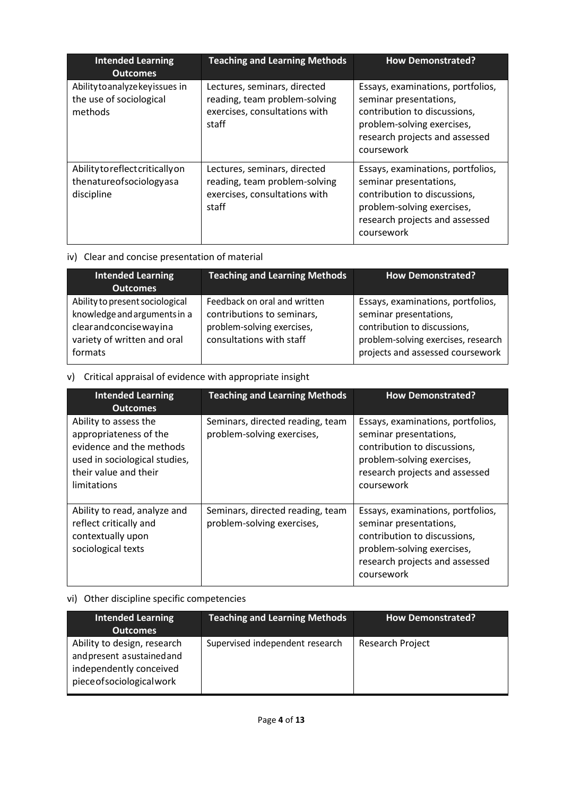| <b>Intended Learning</b><br><b>Outcomes</b>                               | <b>Teaching and Learning Methods</b>                                                                    | <b>How Demonstrated?</b>                                                                                                                                                  |
|---------------------------------------------------------------------------|---------------------------------------------------------------------------------------------------------|---------------------------------------------------------------------------------------------------------------------------------------------------------------------------|
| Ability to analyze key issues in<br>the use of sociological<br>methods    | Lectures, seminars, directed<br>reading, team problem-solving<br>exercises, consultations with<br>staff | Essays, examinations, portfolios,<br>seminar presentations,<br>contribution to discussions,<br>problem-solving exercises,<br>research projects and assessed<br>coursework |
| Ability to reflect critically on<br>thenatureofsociologyasa<br>discipline | Lectures, seminars, directed<br>reading, team problem-solving<br>exercises, consultations with<br>staff | Essays, examinations, portfolios,<br>seminar presentations,<br>contribution to discussions,<br>problem-solving exercises,<br>research projects and assessed<br>coursework |

# iv) Clear and concise presentation of material

| <b>Intended Learning</b><br><b>Outcomes</b>                                                                                        | <b>Teaching and Learning Methods</b>                                                                                 | <b>How Demonstrated?</b>                                                                                                                                               |
|------------------------------------------------------------------------------------------------------------------------------------|----------------------------------------------------------------------------------------------------------------------|------------------------------------------------------------------------------------------------------------------------------------------------------------------------|
| Ability to present sociological<br>knowledge and arguments in a<br>clearandconcisewayina<br>variety of written and oral<br>formats | Feedback on oral and written<br>contributions to seminars,<br>problem-solving exercises,<br>consultations with staff | Essays, examinations, portfolios,<br>seminar presentations,<br>contribution to discussions,<br>problem-solving exercises, research<br>projects and assessed coursework |

# v) Critical appraisal of evidence with appropriate insight

| <b>Intended Learning</b><br><b>Outcomes</b>                                                                                                          | <b>Teaching and Learning Methods</b>                           | <b>How Demonstrated?</b>                                                                                                                                                  |
|------------------------------------------------------------------------------------------------------------------------------------------------------|----------------------------------------------------------------|---------------------------------------------------------------------------------------------------------------------------------------------------------------------------|
| Ability to assess the<br>appropriateness of the<br>evidence and the methods<br>used in sociological studies,<br>their value and their<br>limitations | Seminars, directed reading, team<br>problem-solving exercises, | Essays, examinations, portfolios,<br>seminar presentations,<br>contribution to discussions,<br>problem-solving exercises,<br>research projects and assessed<br>coursework |
| Ability to read, analyze and<br>reflect critically and<br>contextually upon<br>sociological texts                                                    | Seminars, directed reading, team<br>problem-solving exercises, | Essays, examinations, portfolios,<br>seminar presentations,<br>contribution to discussions,<br>problem-solving exercises,<br>research projects and assessed<br>coursework |

# vi) Other discipline specific competencies

| <b>Intended Learning</b><br><b>Outcomes</b>                                                                        | <b>Teaching and Learning Methods</b> | How Demonstrated? |
|--------------------------------------------------------------------------------------------------------------------|--------------------------------------|-------------------|
| Ability to design, research<br>and present asustained and<br>independently conceived<br>piece of sociological work | Supervised independent research      | Research Project  |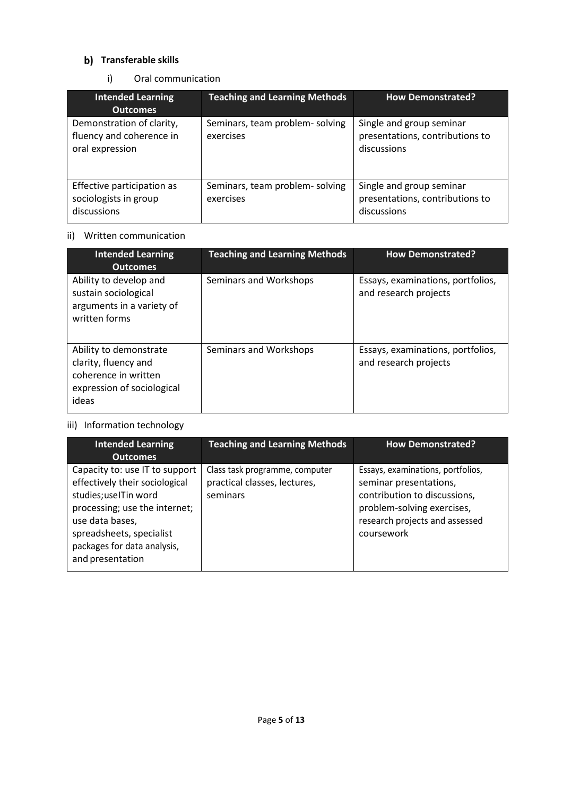## **b)** Transferable skills

i) Oral communication

| <b>Intended Learning</b><br><b>Outcomes</b>                              | <b>Teaching and Learning Methods</b>         | <b>How Demonstrated?</b>                                                   |
|--------------------------------------------------------------------------|----------------------------------------------|----------------------------------------------------------------------------|
| Demonstration of clarity,<br>fluency and coherence in<br>oral expression | Seminars, team problem- solving<br>exercises | Single and group seminar<br>presentations, contributions to<br>discussions |
| Effective participation as<br>sociologists in group<br>discussions       | Seminars, team problem-solving<br>exercises  | Single and group seminar<br>presentations, contributions to<br>discussions |

## ii) Written communication

| <b>Intended Learning</b><br><b>Outcomes</b>                                                                   | <b>Teaching and Learning Methods</b> | <b>How Demonstrated?</b>                                   |
|---------------------------------------------------------------------------------------------------------------|--------------------------------------|------------------------------------------------------------|
| Ability to develop and<br>sustain sociological<br>arguments in a variety of<br>written forms                  | Seminars and Workshops               | Essays, examinations, portfolios,<br>and research projects |
| Ability to demonstrate<br>clarity, fluency and<br>coherence in written<br>expression of sociological<br>ideas | Seminars and Workshops               | Essays, examinations, portfolios,<br>and research projects |

# iii) Information technology

| <b>Intended Learning</b><br><b>Outcomes</b>                                                                                                                                                                                  | <b>Teaching and Learning Methods</b>                                       | <b>How Demonstrated?</b>                                                                                                                                                  |
|------------------------------------------------------------------------------------------------------------------------------------------------------------------------------------------------------------------------------|----------------------------------------------------------------------------|---------------------------------------------------------------------------------------------------------------------------------------------------------------------------|
| Capacity to: use IT to support<br>effectively their sociological<br>studies; useITin word<br>processing; use the internet;<br>use data bases,<br>spreadsheets, specialist<br>packages for data analysis,<br>and presentation | Class task programme, computer<br>practical classes, lectures,<br>seminars | Essays, examinations, portfolios,<br>seminar presentations,<br>contribution to discussions,<br>problem-solving exercises,<br>research projects and assessed<br>coursework |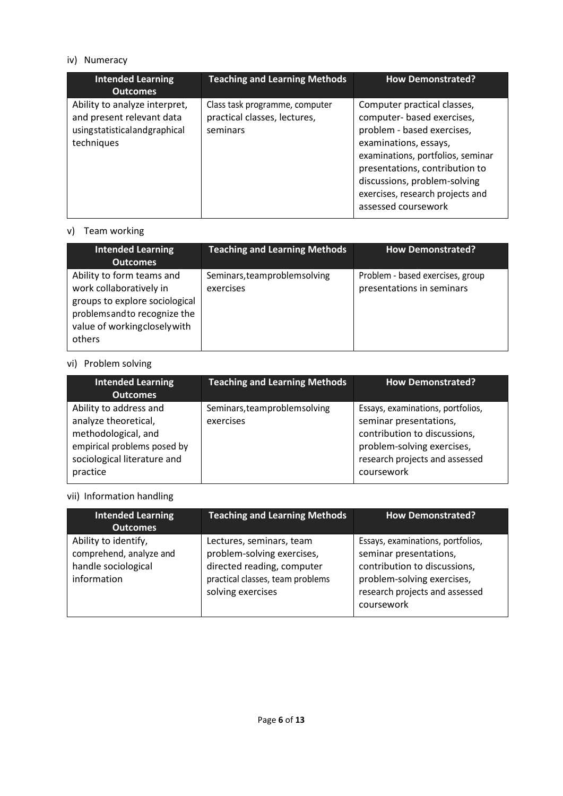# iv) Numeracy

| <b>Intended Learning</b><br><b>Outcomes</b>                                                              | <b>Teaching and Learning Methods</b>                                       | <b>How Demonstrated?</b>                                                                                                                                                                                                                                                           |
|----------------------------------------------------------------------------------------------------------|----------------------------------------------------------------------------|------------------------------------------------------------------------------------------------------------------------------------------------------------------------------------------------------------------------------------------------------------------------------------|
| Ability to analyze interpret,<br>and present relevant data<br>usingstatisticalandgraphical<br>techniques | Class task programme, computer<br>practical classes, lectures,<br>seminars | Computer practical classes,<br>computer- based exercises,<br>problem - based exercises,<br>examinations, essays,<br>examinations, portfolios, seminar<br>presentations, contribution to<br>discussions, problem-solving<br>exercises, research projects and<br>assessed coursework |

## v) Team working

| <b>Intended Learning</b><br><b>Outcomes</b>                                                                                                                       | <b>Teaching and Learning Methods</b>      | <b>How Demonstrated?</b>                                      |
|-------------------------------------------------------------------------------------------------------------------------------------------------------------------|-------------------------------------------|---------------------------------------------------------------|
| Ability to form teams and<br>work collaboratively in<br>groups to explore sociological<br>problems and to recognize the<br>value of workingclosely with<br>others | Seminars, teamproblemsolving<br>exercises | Problem - based exercises, group<br>presentations in seminars |

# vi) Problem solving

| <b>Intended Learning</b><br><b>Outcomes</b>                                                                                                     | <b>Teaching and Learning Methods</b>      | <b>How Demonstrated?</b>                                                                                                                                                  |
|-------------------------------------------------------------------------------------------------------------------------------------------------|-------------------------------------------|---------------------------------------------------------------------------------------------------------------------------------------------------------------------------|
| Ability to address and<br>analyze theoretical,<br>methodological, and<br>empirical problems posed by<br>sociological literature and<br>practice | Seminars, teamproblemsolving<br>exercises | Essays, examinations, portfolios,<br>seminar presentations,<br>contribution to discussions,<br>problem-solving exercises,<br>research projects and assessed<br>coursework |

# vii) Information handling

| <b>Intended Learning</b><br><b>Outcomes</b>                                           | <b>Teaching and Learning Methods</b>                                                                                                          | <b>How Demonstrated?</b>                                                                                                                                                  |
|---------------------------------------------------------------------------------------|-----------------------------------------------------------------------------------------------------------------------------------------------|---------------------------------------------------------------------------------------------------------------------------------------------------------------------------|
| Ability to identify,<br>comprehend, analyze and<br>handle sociological<br>information | Lectures, seminars, team<br>problem-solving exercises,<br>directed reading, computer<br>practical classes, team problems<br>solving exercises | Essays, examinations, portfolios,<br>seminar presentations,<br>contribution to discussions,<br>problem-solving exercises,<br>research projects and assessed<br>coursework |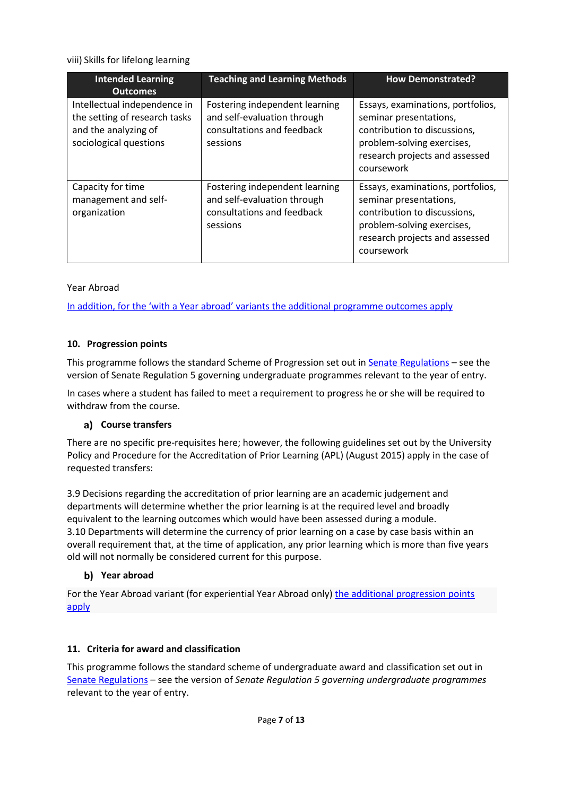viii) Skills for lifelong learning

| <b>Intended Learning</b><br><b>Outcomes</b>                                                                     | <b>Teaching and Learning Methods</b>                                                                    | <b>How Demonstrated?</b>                                                                                                                                                  |
|-----------------------------------------------------------------------------------------------------------------|---------------------------------------------------------------------------------------------------------|---------------------------------------------------------------------------------------------------------------------------------------------------------------------------|
| Intellectual independence in<br>the setting of research tasks<br>and the analyzing of<br>sociological questions | Fostering independent learning<br>and self-evaluation through<br>consultations and feedback<br>sessions | Essays, examinations, portfolios,<br>seminar presentations,<br>contribution to discussions,<br>problem-solving exercises,<br>research projects and assessed<br>coursework |
| Capacity for time<br>management and self-<br>organization                                                       | Fostering independent learning<br>and self-evaluation through<br>consultations and feedback<br>sessions | Essays, examinations, portfolios,<br>seminar presentations,<br>contribution to discussions,<br>problem-solving exercises,<br>research projects and assessed<br>coursework |

## Year Abroad

[In addition, for the 'with a Year abroad' variants the additional programme outcomes apply](https://uniofleicester.sharepoint.com/sites/StudyAbroad/Shared%20Documents/Forms/AllItems.aspx?id=%2Fsites%2FStudyAbroad%2FShared%20Documents%2FUpdated%20programme%20specs%2Epdf&parent=%2Fsites%2FStudyAbroad%2FShared%20Documents&p=true)

#### **10. Progression points**

This programme follows the standard Scheme of Progression set out i[n Senate Regulations](http://www.le.ac.uk/senate-regulations) – see the version of Senate Regulation 5 governing undergraduate programmes relevant to the year of entry.

In cases where a student has failed to meet a requirement to progress he or she will be required to withdraw from the course.

#### **Course transfers**

There are no specific pre-requisites here; however, the following guidelines set out by the University Policy and Procedure for the Accreditation of Prior Learning (APL) (August 2015) apply in the case of requested transfers:

3.9 Decisions regarding the accreditation of prior learning are an academic judgement and departments will determine whether the prior learning is at the required level and broadly equivalent to the learning outcomes which would have been assessed during a module. 3.10 Departments will determine the currency of prior learning on a case by case basis within an overall requirement that, at the time of application, any prior learning which is more than five years old will not normally be considered current for this purpose.

# **Year abroad**

For the Year Abroad variant (for experiential Year Abroad only) [the additional progression points](https://uniofleicester.sharepoint.com/sites/StudyAbroad/Shared%20Documents/Forms/AllItems.aspx?id=%2Fsites%2FStudyAbroad%2FShared%20Documents%2FUpdated%20programme%20specs%2Epdf&parent=%2Fsites%2FStudyAbroad%2FShared%20Documents&p=true)  [apply](https://uniofleicester.sharepoint.com/sites/StudyAbroad/Shared%20Documents/Forms/AllItems.aspx?id=%2Fsites%2FStudyAbroad%2FShared%20Documents%2FUpdated%20programme%20specs%2Epdf&parent=%2Fsites%2FStudyAbroad%2FShared%20Documents&p=true)

#### **11. Criteria for award and classification**

This programme follows the standard scheme of undergraduate award and classification set out in [Senate Regulations –](http://www.le.ac.uk/senate-regulations) see the version of *Senate Regulation 5 governing undergraduate programmes* relevant to the year of entry.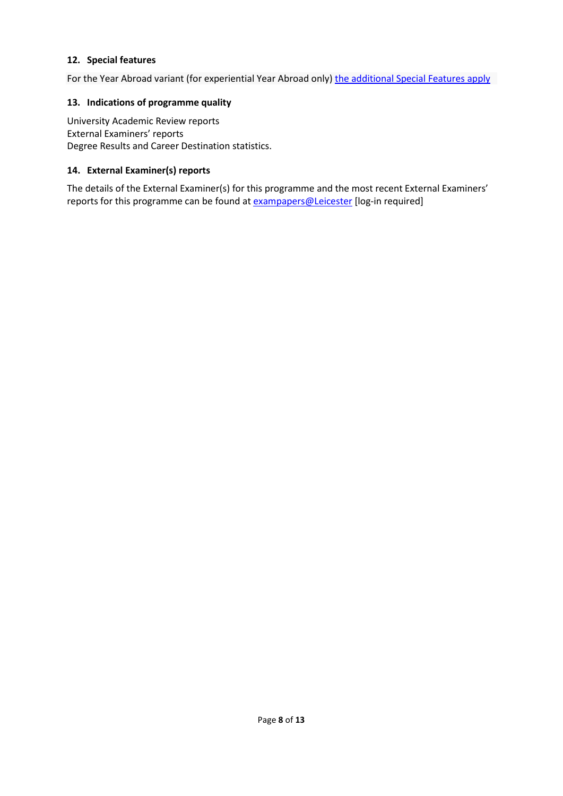#### **12. Special features**

For the Year Abroad variant (for experiential Year Abroad only) [the additional Special Features apply](https://uniofleicester.sharepoint.com/sites/StudyAbroad/Shared%20Documents/Forms/AllItems.aspx?id=%2Fsites%2FStudyAbroad%2FShared%20Documents%2FUpdated%20programme%20specs%2Epdf&parent=%2Fsites%2FStudyAbroad%2FShared%20Documents&p=true)

#### **13. Indications of programme quality**

University Academic Review reports External Examiners' reports Degree Results and Career Destination statistics.

#### **14. External Examiner(s) reports**

The details of the External Examiner(s) for this programme and the most recent External Examiners' reports for this programme can be found at **[exampapers@Leicester](https://exampapers.le.ac.uk/)** [log-in required]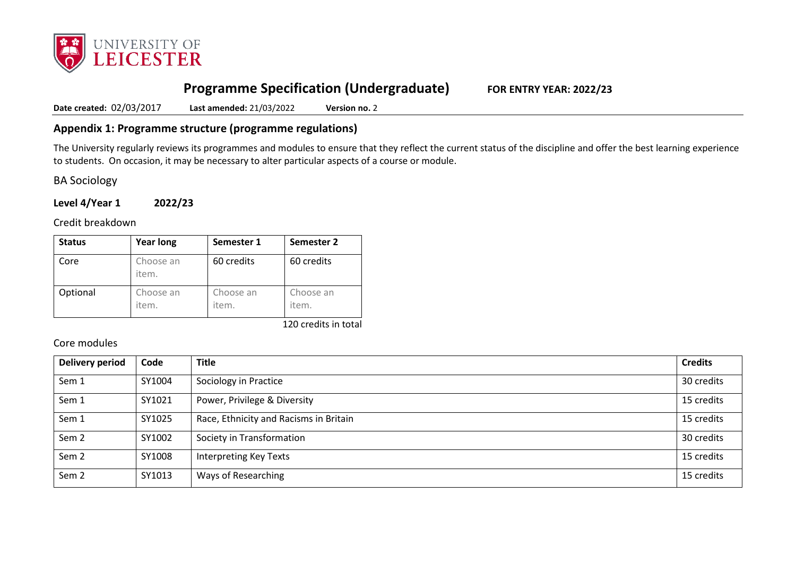

# **Programme Specification (Undergraduate) FOR ENTRY YEAR: 2022/23**

**Date created:** 02/03/2017 **Last amended:** 21/03/2022 **Version no.** 2

## **Appendix 1: Programme structure (programme regulations)**

The University regularly reviews its programmes and modules to ensure that they reflect the current status of the discipline and offer the best learning experience to students. On occasion, it may be necessary to alter particular aspects of a course or module.

BA Sociology

**Level 4/Year 1 2022/23**

Credit breakdown

| <b>Status</b> | <b>Year long</b>   | Semester 1         | Semester 2         |
|---------------|--------------------|--------------------|--------------------|
| Core          | Choose an<br>item. | 60 credits         | 60 credits         |
| Optional      | Choose an<br>item. | Choose an<br>item. | Choose an<br>item. |

120 credits in total

Core modules

| Delivery period  | Code   | <b>Title</b>                           | <b>Credits</b> |
|------------------|--------|----------------------------------------|----------------|
| Sem 1            | SY1004 | Sociology in Practice                  | 30 credits     |
| Sem 1            | SY1021 | Power, Privilege & Diversity           | 15 credits     |
| Sem 1            | SY1025 | Race, Ethnicity and Racisms in Britain | 15 credits     |
| Sem <sub>2</sub> | SY1002 | Society in Transformation              | 30 credits     |
| Sem <sub>2</sub> | SY1008 | <b>Interpreting Key Texts</b>          | 15 credits     |
| Sem <sub>2</sub> | SY1013 | Ways of Researching                    | 15 credits     |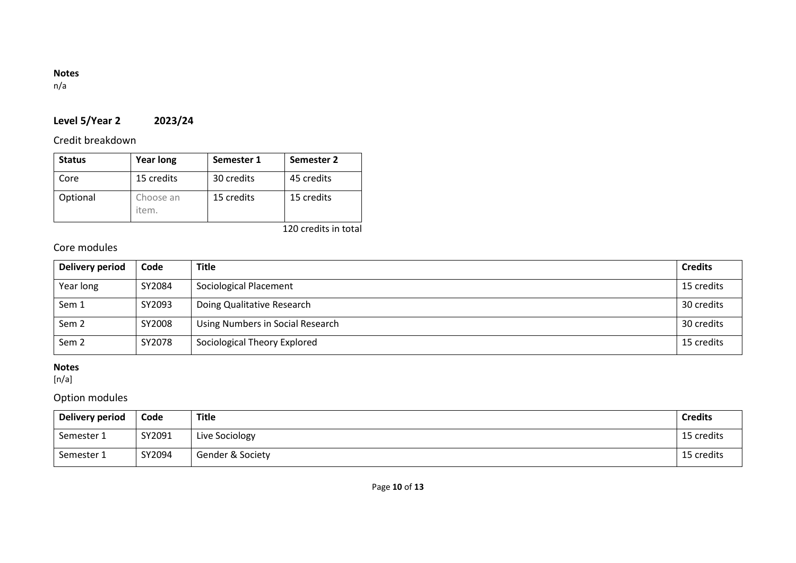## **Notes**

n/a

# **Level 5/Year 2 2023/24**

# Credit breakdown

| <b>Status</b> | <b>Year long</b>   | Semester 1 | Semester 2 |
|---------------|--------------------|------------|------------|
| Core          | 15 credits         | 30 credits | 45 credits |
| Optional      | Choose an<br>item. | 15 credits | 15 credits |

120 credits in total

# Core modules

| Delivery period | Code   | <b>Title</b>                     | <b>Credits</b> |
|-----------------|--------|----------------------------------|----------------|
| Year long       | SY2084 | Sociological Placement           | 15 credits     |
| Sem 1           | SY2093 | Doing Qualitative Research       | 30 credits     |
| Sem 2           | SY2008 | Using Numbers in Social Research | 30 credits     |
| Sem 2           | SY2078 | Sociological Theory Explored     | 15 credits     |

# **Notes**

 $[n/a]$ 

Option modules

| Delivery period | Code   | Title            | <b>Credits</b> |
|-----------------|--------|------------------|----------------|
| Semester 1      | SY2091 | Live Sociology   | 15 credits     |
| Semester 1      | SY2094 | Gender & Society | 15 credits     |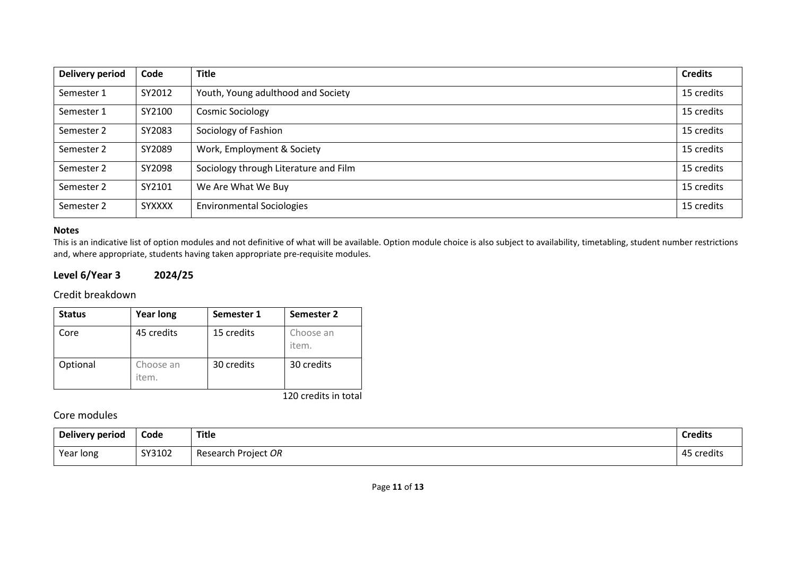| <b>Delivery period</b> | Code          | <b>Title</b>                          | <b>Credits</b> |
|------------------------|---------------|---------------------------------------|----------------|
| Semester 1             | SY2012        | Youth, Young adulthood and Society    | 15 credits     |
| Semester 1             | SY2100        | <b>Cosmic Sociology</b>               | 15 credits     |
| Semester 2             | SY2083        | Sociology of Fashion                  | 15 credits     |
| Semester 2             | SY2089        | Work, Employment & Society            | 15 credits     |
| Semester 2             | SY2098        | Sociology through Literature and Film | 15 credits     |
| Semester 2             | SY2101        | We Are What We Buy                    | 15 credits     |
| Semester 2             | <b>SYXXXX</b> | <b>Environmental Sociologies</b>      | 15 credits     |

#### **Notes**

This is an indicative list of option modules and not definitive of what will be available. Option module choice is also subject to availability, timetabling, student number restrictions and, where appropriate, students having taken appropriate pre-requisite modules.

# **Level 6/Year 3 2024/25**

#### Credit breakdown

| <b>Status</b> | <b>Year long</b>   | Semester 1 | Semester 2         |
|---------------|--------------------|------------|--------------------|
| Core          | 45 credits         | 15 credits | Choose an<br>item. |
| Optional      | Choose an<br>item. | 30 credits | 30 credits         |

120 credits in total

## Core modules

| Delivery period | Code   | <b>Title</b>           | <b>Credits</b>             |
|-----------------|--------|------------------------|----------------------------|
| Year long       | SY3102 | Project OR<br>Research | 45<br>credits <sup>.</sup> |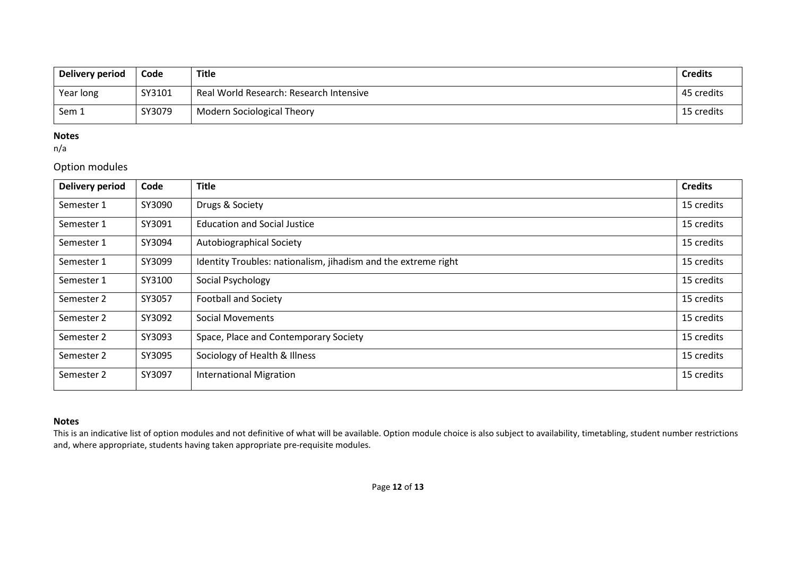| Delivery period | Code   | Title                                   | <b>Credits</b> |
|-----------------|--------|-----------------------------------------|----------------|
| Year long       | SY3101 | Real World Research: Research Intensive | 45 credits     |
| Sem 1           | SY3079 | <b>Modern Sociological Theory</b>       | 15 credits     |

#### **Notes**

n/a

# Option modules

| <b>Delivery period</b> | Code   | <b>Title</b>                                                   | <b>Credits</b> |
|------------------------|--------|----------------------------------------------------------------|----------------|
| Semester 1             | SY3090 | Drugs & Society                                                | 15 credits     |
| Semester 1             | SY3091 | <b>Education and Social Justice</b>                            | 15 credits     |
| Semester 1             | SY3094 | Autobiographical Society                                       | 15 credits     |
| Semester 1             | SY3099 | Identity Troubles: nationalism, jihadism and the extreme right | 15 credits     |
| Semester 1             | SY3100 | Social Psychology                                              | 15 credits     |
| Semester 2             | SY3057 | <b>Football and Society</b>                                    | 15 credits     |
| Semester 2             | SY3092 | Social Movements                                               | 15 credits     |
| Semester 2             | SY3093 | Space, Place and Contemporary Society                          | 15 credits     |
| Semester 2             | SY3095 | Sociology of Health & Illness                                  | 15 credits     |
| Semester 2             | SY3097 | <b>International Migration</b>                                 | 15 credits     |

#### **Notes**

This is an indicative list of option modules and not definitive of what will be available. Option module choice is also subject to availability, timetabling, student number restrictions and, where appropriate, students having taken appropriate pre-requisite modules.